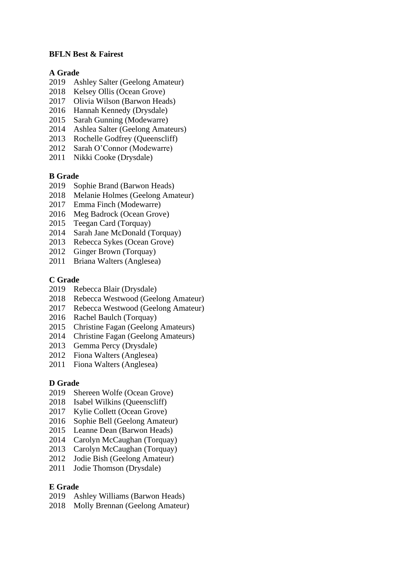## **BFLN Best & Fairest**

### **A Grade**

- 2019 Ashley Salter (Geelong Amateur)
- 2018 Kelsey Ollis (Ocean Grove)
- 2017 Olivia Wilson (Barwon Heads)
- 2016 Hannah Kennedy (Drysdale)
- 2015 Sarah Gunning (Modewarre)
- 2014 Ashlea Salter (Geelong Amateurs)
- 2013 Rochelle Godfrey (Queenscliff)
- 2012 Sarah O'Connor (Modewarre)
- 2011 Nikki Cooke (Drysdale)

# **B Grade**

- 2019 Sophie Brand (Barwon Heads)
- 2018 Melanie Holmes (Geelong Amateur)
- 2017 Emma Finch (Modewarre)
- 2016 Meg Badrock (Ocean Grove)
- 2015 Teegan Card (Torquay)
- 2014 Sarah Jane McDonald (Torquay)
- 2013 Rebecca Sykes (Ocean Grove)
- 2012 Ginger Brown (Torquay)
- 2011 Briana Walters (Anglesea)

### **C Grade**

- 2019 Rebecca Blair (Drysdale)
- 2018 Rebecca Westwood (Geelong Amateur)
- 2017 Rebecca Westwood (Geelong Amateur)
- 2016 Rachel Baulch (Torquay)
- 2015 Christine Fagan (Geelong Amateurs)
- 2014 Christine Fagan (Geelong Amateurs)
- 2013 Gemma Percy (Drysdale)
- 2012 Fiona Walters (Anglesea)
- 2011 Fiona Walters (Anglesea)

#### **D Grade**

- 2019 Shereen Wolfe (Ocean Grove)
- 2018 Isabel Wilkins (Queenscliff)
- 2017 Kylie Collett (Ocean Grove)
- 2016 Sophie Bell (Geelong Amateur)
- 2015 Leanne Dean (Barwon Heads)
- 2014 Carolyn McCaughan (Torquay)
- 2013 Carolyn McCaughan (Torquay)
- 2012 Jodie Bish (Geelong Amateur)
- 2011 Jodie Thomson (Drysdale)

#### **E Grade**

- 2019 Ashley Williams (Barwon Heads)
- 2018 Molly Brennan (Geelong Amateur)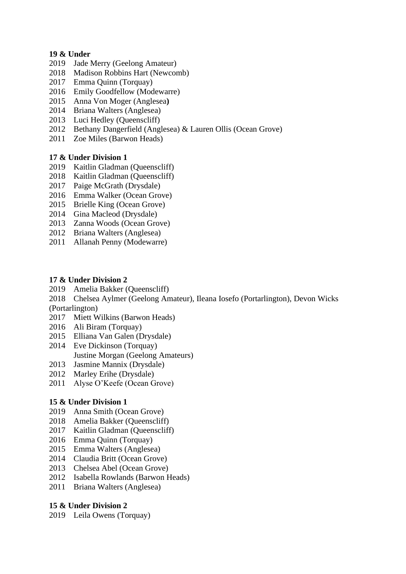# **19 & Under**

- 2019 Jade Merry (Geelong Amateur)
- 2018 Madison Robbins Hart (Newcomb)
- 2017 Emma Quinn (Torquay)
- 2016 Emily Goodfellow (Modewarre)
- 2015 Anna Von Moger (Anglesea**)**
- 2014 Briana Walters (Anglesea)
- 2013 Luci Hedley (Queenscliff)
- 2012 Bethany Dangerfield (Anglesea) & Lauren Ollis (Ocean Grove)
- 2011 Zoe Miles (Barwon Heads)

## **17 & Under Division 1**

- 2019 Kaitlin Gladman (Queenscliff)
- 2018 Kaitlin Gladman (Queenscliff)
- 2017 Paige McGrath (Drysdale)
- 2016 Emma Walker (Ocean Grove)
- 2015 Brielle King (Ocean Grove)
- 2014 Gina Macleod (Drysdale)
- 2013 Zanna Woods (Ocean Grove)
- 2012 Briana Walters (Anglesea)
- 2011 Allanah Penny (Modewarre)

## **17 & Under Division 2**

- 2019 Amelia Bakker (Queenscliff)
- 2018 Chelsea Aylmer (Geelong Amateur), Ileana Iosefo (Portarlington), Devon Wicks (Portarlington)
- 2017 Miett Wilkins (Barwon Heads)
- 2016 Ali Biram (Torquay)
- 2015 Elliana Van Galen (Drysdale)
- 2014 Eve Dickinson (Torquay) Justine Morgan (Geelong Amateurs)
- 2013 Jasmine Mannix (Drysdale)
- 2012 Marley Erihe (Drysdale)
- 2011 Alyse O'Keefe (Ocean Grove)

## **15 & Under Division 1**

- 2019 Anna Smith (Ocean Grove)
- 2018 Amelia Bakker (Queenscliff)
- 2017 Kaitlin Gladman (Queenscliff)
- 2016 Emma Quinn (Torquay)
- 2015 Emma Walters (Anglesea)
- 2014 Claudia Britt (Ocean Grove)
- 2013 Chelsea Abel (Ocean Grove)
- 2012 Isabella Rowlands (Barwon Heads)
- 2011 Briana Walters (Anglesea)

## **15 & Under Division 2**

2019 Leila Owens (Torquay)